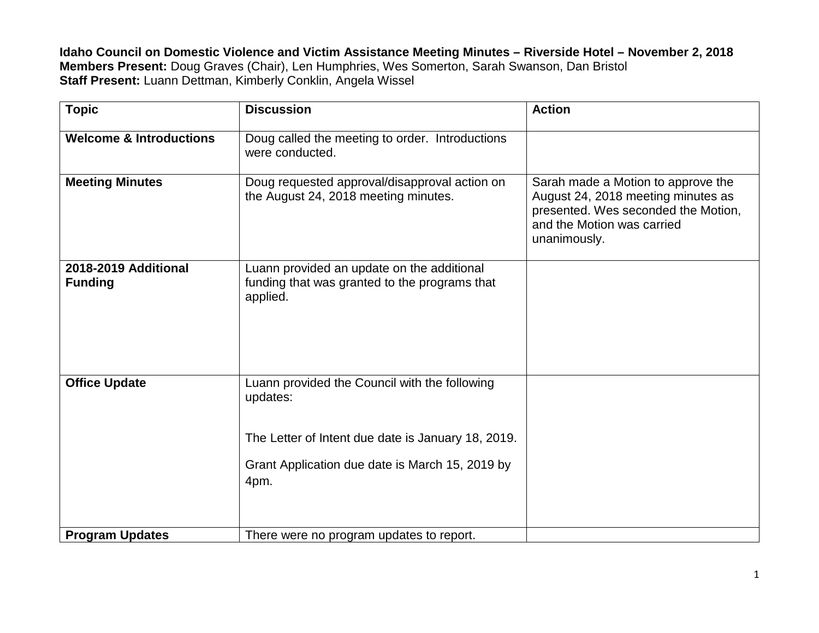**Idaho Council on Domestic Violence and Victim Assistance Meeting Minutes – Riverside Hotel – November 2, 2018 Members Present:** Doug Graves (Chair), Len Humphries, Wes Somerton, Sarah Swanson, Dan Bristol **Staff Present:** Luann Dettman, Kimberly Conklin, Angela Wissel

| <b>Topic</b>                           | <b>Discussion</b>                                                                                                                                                          | <b>Action</b>                                                                                                                                                 |
|----------------------------------------|----------------------------------------------------------------------------------------------------------------------------------------------------------------------------|---------------------------------------------------------------------------------------------------------------------------------------------------------------|
| <b>Welcome &amp; Introductions</b>     | Doug called the meeting to order. Introductions<br>were conducted.                                                                                                         |                                                                                                                                                               |
| <b>Meeting Minutes</b>                 | Doug requested approval/disapproval action on<br>the August 24, 2018 meeting minutes.                                                                                      | Sarah made a Motion to approve the<br>August 24, 2018 meeting minutes as<br>presented. Wes seconded the Motion,<br>and the Motion was carried<br>unanimously. |
| 2018-2019 Additional<br><b>Funding</b> | Luann provided an update on the additional<br>funding that was granted to the programs that<br>applied.                                                                    |                                                                                                                                                               |
| <b>Office Update</b>                   | Luann provided the Council with the following<br>updates:<br>The Letter of Intent due date is January 18, 2019.<br>Grant Application due date is March 15, 2019 by<br>4pm. |                                                                                                                                                               |
| <b>Program Updates</b>                 | There were no program updates to report.                                                                                                                                   |                                                                                                                                                               |